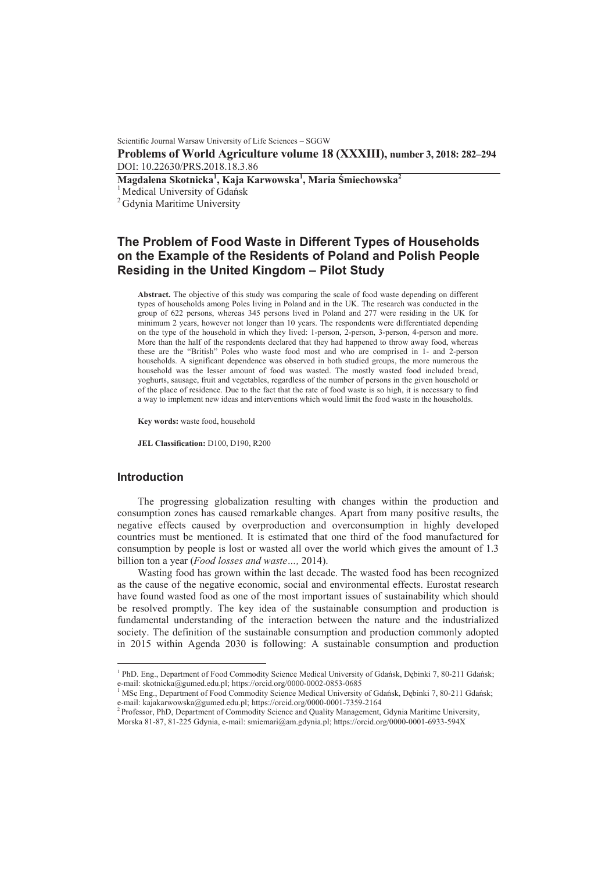Scientific Journal Warsaw University of Life Sciences – SGGW

**Problems of World Agriculture volume 18 (XXXIII), number 3, 2018: 282–294**  DOI: 10.22630/PRS.2018.18.3.86

**Magdalena Skotnicka<sup>1</sup> , Kaja Karwowska<sup>1</sup> , Maria ĝmiechowska<sup>2</sup>**

<sup>1</sup> Medical University of Gdańsk

<sup>2</sup> Gdynia Maritime University

# **The Problem of Food Waste in Different Types of Households on the Example of the Residents of Poland and Polish People Residing in the United Kingdom – Pilot Study**

**Abstract.** The objective of this study was comparing the scale of food waste depending on different types of households among Poles living in Poland and in the UK. The research was conducted in the group of 622 persons, whereas 345 persons lived in Poland and 277 were residing in the UK for minimum 2 years, however not longer than 10 years. The respondents were differentiated depending on the type of the household in which they lived: 1-person, 2-person, 3-person, 4-person and more. More than the half of the respondents declared that they had happened to throw away food, whereas these are the "British" Poles who waste food most and who are comprised in 1- and 2-person households. A significant dependence was observed in both studied groups, the more numerous the household was the lesser amount of food was wasted. The mostly wasted food included bread, yoghurts, sausage, fruit and vegetables, regardless of the number of persons in the given household or of the place of residence. Due to the fact that the rate of food waste is so high, it is necessary to find a way to implement new ideas and interventions which would limit the food waste in the households.

**Key words:** waste food, household

**JEL Classification:** D100, D190, R200

#### **Introduction**

 $\overline{a}$ 

The progressing globalization resulting with changes within the production and consumption zones has caused remarkable changes. Apart from many positive results, the negative effects caused by overproduction and overconsumption in highly developed countries must be mentioned. It is estimated that one third of the food manufactured for consumption by people is lost or wasted all over the world which gives the amount of 1.3 billion ton a year (*Food losses and waste…,* 2014).

Wasting food has grown within the last decade. The wasted food has been recognized as the cause of the negative economic, social and environmental effects. Eurostat research have found wasted food as one of the most important issues of sustainability which should be resolved promptly. The key idea of the sustainable consumption and production is fundamental understanding of the interaction between the nature and the industrialized society. The definition of the sustainable consumption and production commonly adopted in 2015 within Agenda 2030 is following: A sustainable consumption and production

<sup>&</sup>lt;sup>1</sup> PhD. Eng., Department of Food Commodity Science Medical University of Gdańsk, Dębinki 7, 80-211 Gdańsk; e-mail: skotnicka@gumed.edu.pl; https://orcid.org/0000-0002-0853-0685

<sup>&</sup>lt;sup>1</sup> MSc Eng., Department of Food Commodity Science Medical University of Gdańsk, Dębinki 7, 80-211 Gdańsk; e-mail: kajakarwowska@gumed.edu.pl; https://orcid.org/0000-0001-7359-2164<br><sup>2</sup> Professor, PhD, Department of Commodity Science and Quality Management, Gdynia Maritime University,

Morska 81-87, 81-225 Gdynia, e-mail: smiemari@am.gdynia.pl; https://orcid.org/0000-0001-6933-594X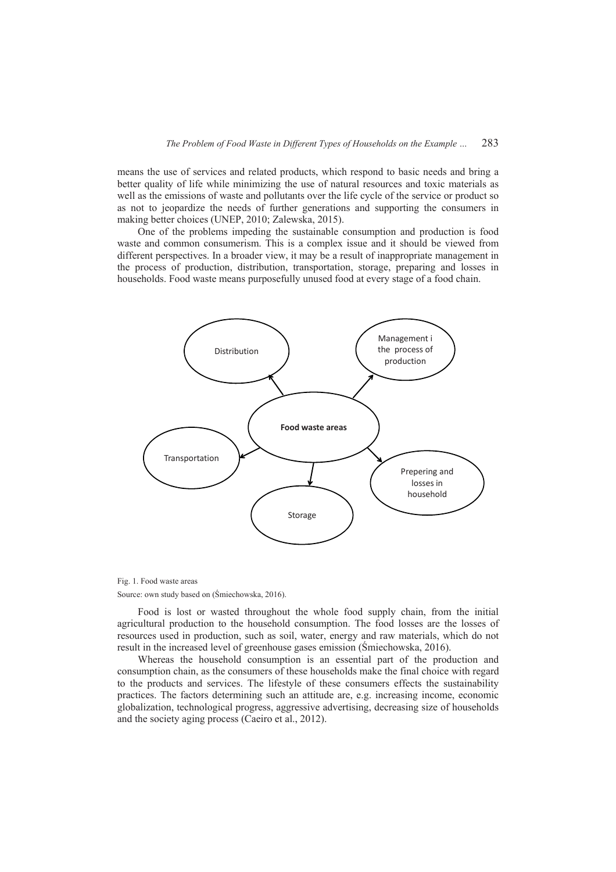means the use of services and related products, which respond to basic needs and bring a better quality of life while minimizing the use of natural resources and toxic materials as well as the emissions of waste and pollutants over the life cycle of the service or product so as not to jeopardize the needs of further generations and supporting the consumers in making better choices (UNEP, 2010; Zalewska, 2015).

One of the problems impeding the sustainable consumption and production is food waste and common consumerism. This is a complex issue and it should be viewed from different perspectives. In a broader view, it may be a result of inappropriate management in the process of production, distribution, transportation, storage, preparing and losses in households. Food waste means purposefully unused food at every stage of a food chain.



Fig. 1. Food waste areas Source: own study based on (ĝmiechowska, 2016).

Food is lost or wasted throughout the whole food supply chain, from the initial agricultural production to the household consumption. The food losses are the losses of resources used in production, such as soil, water, energy and raw materials, which do not result in the increased level of greenhouse gases emission (ĝmiechowska, 2016).

Whereas the household consumption is an essential part of the production and consumption chain, as the consumers of these households make the final choice with regard to the products and services. The lifestyle of these consumers effects the sustainability practices. The factors determining such an attitude are, e.g. increasing income, economic globalization, technological progress, aggressive advertising, decreasing size of households and the society aging process (Caeiro et al., 2012).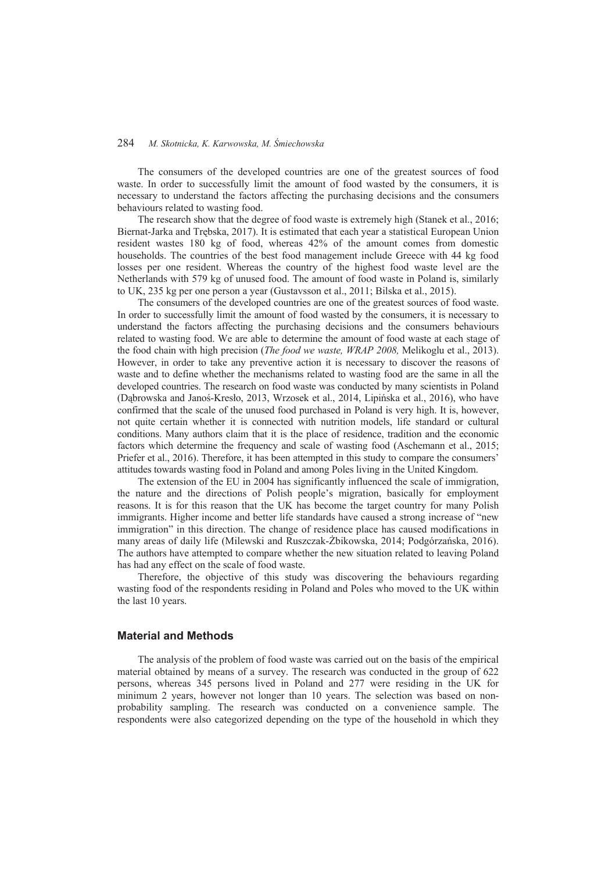The consumers of the developed countries are one of the greatest sources of food waste. In order to successfully limit the amount of food wasted by the consumers, it is necessary to understand the factors affecting the purchasing decisions and the consumers behaviours related to wasting food.

The research show that the degree of food waste is extremely high (Stanek et al., 2016; Biernat-Jarka and Trebska, 2017). It is estimated that each year a statistical European Union resident wastes 180 kg of food, whereas 42% of the amount comes from domestic households. The countries of the best food management include Greece with 44 kg food losses per one resident. Whereas the country of the highest food waste level are the Netherlands with 579 kg of unused food. The amount of food waste in Poland is, similarly to UK, 235 kg per one person a year (Gustavsson et al., 2011; Bilska et al., 2015).

The consumers of the developed countries are one of the greatest sources of food waste. In order to successfully limit the amount of food wasted by the consumers, it is necessary to understand the factors affecting the purchasing decisions and the consumers behaviours related to wasting food. We are able to determine the amount of food waste at each stage of the food chain with high precision (*The food we waste, WRAP 2008,* Melikoglu et al., 2013). However, in order to take any preventive action it is necessary to discover the reasons of waste and to define whether the mechanisms related to wasting food are the same in all the developed countries. The research on food waste was conducted by many scientists in Poland (Dąbrowska and Janoś-Kresło, 2013, Wrzosek et al., 2014, Lipińska et al., 2016), who have confirmed that the scale of the unused food purchased in Poland is very high. It is, however, not quite certain whether it is connected with nutrition models, life standard or cultural conditions. Many authors claim that it is the place of residence, tradition and the economic factors which determine the frequency and scale of wasting food (Aschemann et al., 2015; Priefer et al., 2016). Therefore, it has been attempted in this study to compare the consumers' attitudes towards wasting food in Poland and among Poles living in the United Kingdom.

The extension of the EU in 2004 has significantly influenced the scale of immigration, the nature and the directions of Polish people's migration, basically for employment reasons. It is for this reason that the UK has become the target country for many Polish immigrants. Higher income and better life standards have caused a strong increase of "new immigration" in this direction. The change of residence place has caused modifications in many areas of daily life (Milewski and Ruszczak-Żbikowska, 2014; Podgórzańska, 2016). The authors have attempted to compare whether the new situation related to leaving Poland has had any effect on the scale of food waste.

Therefore, the objective of this study was discovering the behaviours regarding wasting food of the respondents residing in Poland and Poles who moved to the UK within the last 10 years.

## **Material and Methods**

The analysis of the problem of food waste was carried out on the basis of the empirical material obtained by means of a survey. The research was conducted in the group of 622 persons, whereas 345 persons lived in Poland and 277 were residing in the UK for minimum 2 years, however not longer than 10 years. The selection was based on nonprobability sampling. The research was conducted on a convenience sample. The respondents were also categorized depending on the type of the household in which they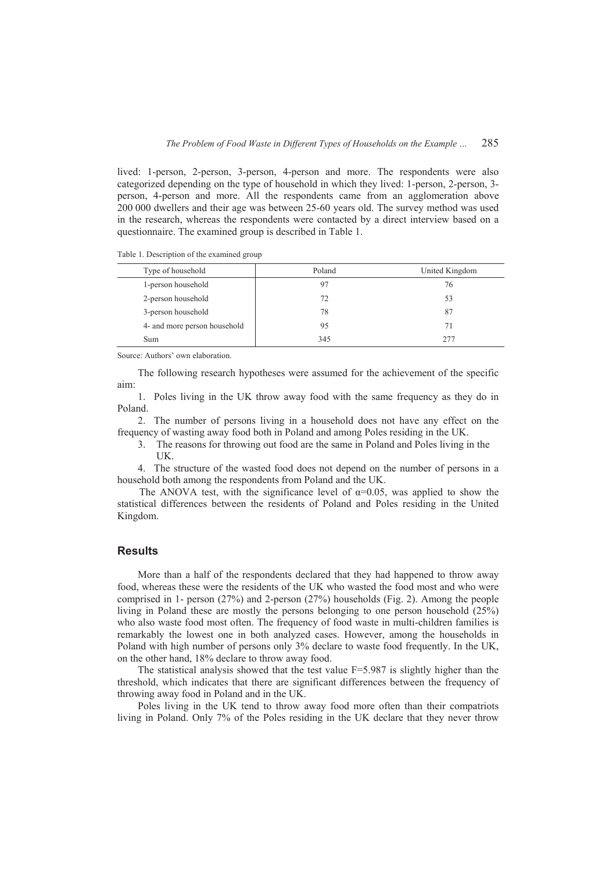lived: 1-person, 2-person, 3-person, 4-person and more. The respondents were also categorized depending on the type of household in which they lived: 1-person, 2-person, 3 person, 4-person and more. All the respondents came from an agglomeration above 200 000 dwellers and their age was between 25-60 years old. The survey method was used in the research, whereas the respondents were contacted by a direct interview based on a questionnaire. The examined group is described in Table 1.

Table 1. Description of the examined group

| Type of household            | Poland | United Kingdom |
|------------------------------|--------|----------------|
| 1-person household           | 97     | 76             |
| 2-person household           | 72     | 53             |
| 3-person household           | 78     | 87             |
| 4- and more person household | 95     | 71             |
| Sum                          | 345    | 277            |

Source: Authors' own elaboration.

The following research hypotheses were assumed for the achievement of the specific aim:

1. Poles living in the UK throw away food with the same frequency as they do in Poland.

2. The number of persons living in a household does not have any effect on the frequency of wasting away food both in Poland and among Poles residing in the UK.

3. The reasons for throwing out food are the same in Poland and Poles living in the UK.

4. The structure of the wasted food does not depend on the number of persons in a household both among the respondents from Poland and the UK.

The ANOVA test, with the significance level of  $\alpha=0.05$ , was applied to show the statistical differences between the residents of Poland and Poles residing in the United Kingdom.

## **Results**

More than a half of the respondents declared that they had happened to throw away food, whereas these were the residents of the UK who wasted the food most and who were comprised in 1- person (27%) and 2-person (27%) households (Fig. 2). Among the people living in Poland these are mostly the persons belonging to one person household (25%) who also waste food most often. The frequency of food waste in multi-children families is remarkably the lowest one in both analyzed cases. However, among the households in Poland with high number of persons only 3% declare to waste food frequently. In the UK, on the other hand, 18% declare to throw away food.

The statistical analysis showed that the test value  $F=5.987$  is slightly higher than the threshold, which indicates that there are significant differences between the frequency of throwing away food in Poland and in the UK.

Poles living in the UK tend to throw away food more often than their compatriots living in Poland. Only 7% of the Poles residing in the UK declare that they never throw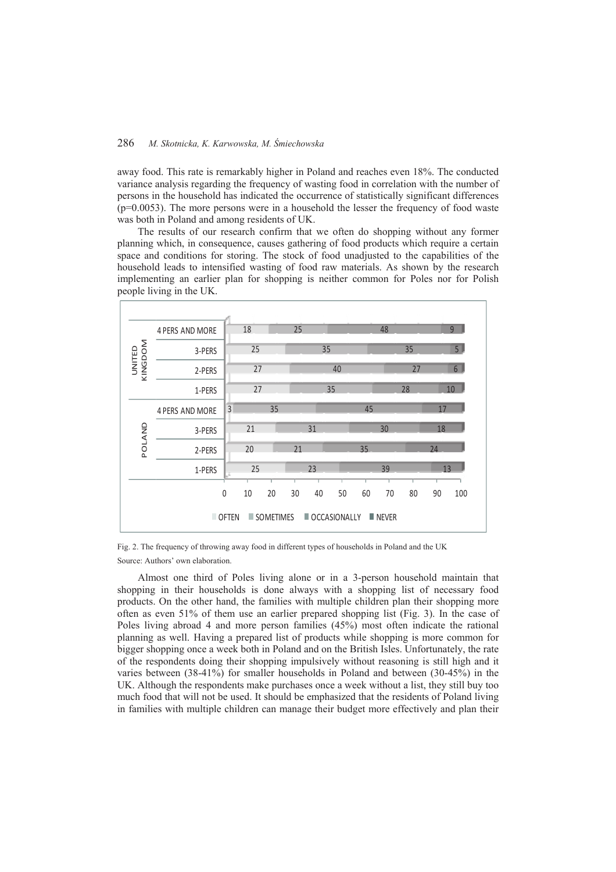away food. This rate is remarkably higher in Poland and reaches even 18%. The conducted variance analysis regarding the frequency of wasting food in correlation with the number of persons in the household has indicated the occurrence of statistically significant differences  $(p=0.0053)$ . The more persons were in a household the lesser the frequency of food waste was both in Poland and among residents of UK.

The results of our research confirm that we often do shopping without any former planning which, in consequence, causes gathering of food products which require a certain space and conditions for storing. The stock of food unadjusted to the capabilities of the household leads to intensified wasting of food raw materials. As shown by the research implementing an earlier plan for shopping is neither common for Poles nor for Polish people living in the UK.

|                                                                                  | 4 PERS AND MORE        |                | 18 |    | 25 |    |    |    | 48 |                |    | 9   |
|----------------------------------------------------------------------------------|------------------------|----------------|----|----|----|----|----|----|----|----------------|----|-----|
|                                                                                  | 3-PERS                 |                | 25 |    |    | 35 |    | 35 |    | 5 <sub>l</sub> |    |     |
| KINGDOM<br>UNITED                                                                | 2-PERS                 |                | 27 |    |    | 40 |    | 27 |    | 6              |    |     |
|                                                                                  | 1-PERS                 |                | 27 |    |    | 35 |    | 28 |    | 10             |    |     |
| POLAND                                                                           | <b>4 PERS AND MORE</b> | $\overline{3}$ |    | 35 |    |    |    | 45 |    |                | 17 |     |
|                                                                                  | 3-PERS                 |                | 21 |    |    | 31 |    | 30 |    |                | 18 |     |
|                                                                                  | 2-PERS                 |                | 20 |    | 21 |    |    | 35 |    | 74             |    |     |
|                                                                                  | 1-PERS                 |                | 25 |    | 23 |    | 39 |    |    | 13             |    |     |
|                                                                                  |                        | $\mathbf{0}$   | 10 | 20 | 30 | 40 | 50 | 60 | 70 | 80             | 90 | 100 |
| SOMETIMES<br><b>OFTEN</b><br>$\blacksquare$ OCCASIONALLY<br>$\blacksquare$ NEVER |                        |                |    |    |    |    |    |    |    |                |    |     |

Fig. 2. The frequency of throwing away food in different types of households in Poland and the UK Source: Authors' own elaboration.

Almost one third of Poles living alone or in a 3-person household maintain that shopping in their households is done always with a shopping list of necessary food products. On the other hand, the families with multiple children plan their shopping more often as even 51% of them use an earlier prepared shopping list (Fig. 3). In the case of Poles living abroad 4 and more person families (45%) most often indicate the rational planning as well. Having a prepared list of products while shopping is more common for bigger shopping once a week both in Poland and on the British Isles. Unfortunately, the rate of the respondents doing their shopping impulsively without reasoning is still high and it varies between (38-41%) for smaller households in Poland and between (30-45%) in the UK. Although the respondents make purchases once a week without a list, they still buy too much food that will not be used. It should be emphasized that the residents of Poland living in families with multiple children can manage their budget more effectively and plan their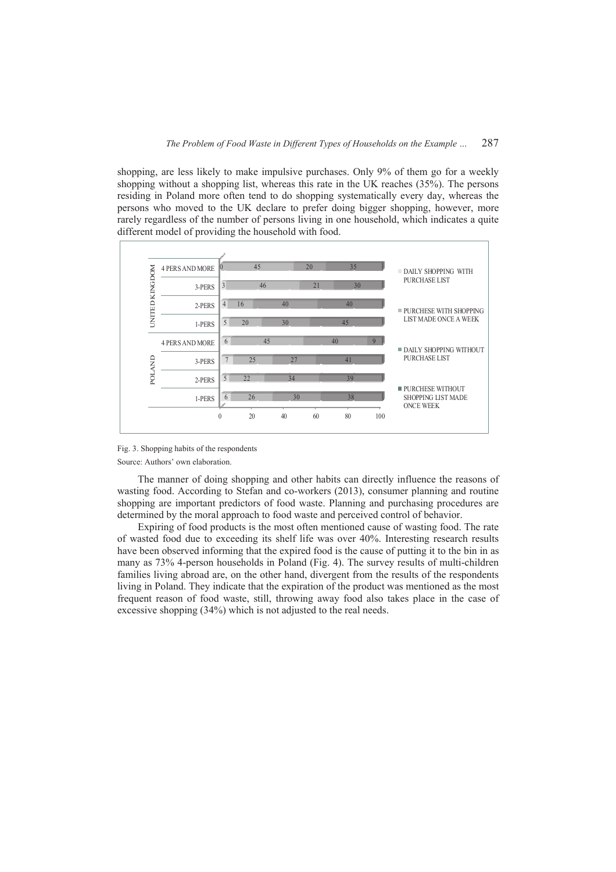shopping, are less likely to make impulsive purchases. Only 9% of them go for a weekly shopping without a shopping list, whereas this rate in the UK reaches (35%). The persons residing in Poland more often tend to do shopping systematically every day, whereas the persons who moved to the UK declare to prefer doing bigger shopping, however, more rarely regardless of the number of persons living in one household, which indicates a quite different model of providing the household with food.



Fig. 3. Shopping habits of the respondents

Source: Authors' own elaboration.

The manner of doing shopping and other habits can directly influence the reasons of wasting food. According to Stefan and co-workers (2013), consumer planning and routine shopping are important predictors of food waste. Planning and purchasing procedures are determined by the moral approach to food waste and perceived control of behavior.

Expiring of food products is the most often mentioned cause of wasting food. The rate of wasted food due to exceeding its shelf life was over 40%. Interesting research results have been observed informing that the expired food is the cause of putting it to the bin in as many as 73% 4-person households in Poland (Fig. 4). The survey results of multi-children families living abroad are, on the other hand, divergent from the results of the respondents living in Poland. They indicate that the expiration of the product was mentioned as the most frequent reason of food waste, still, throwing away food also takes place in the case of excessive shopping (34%) which is not adjusted to the real needs.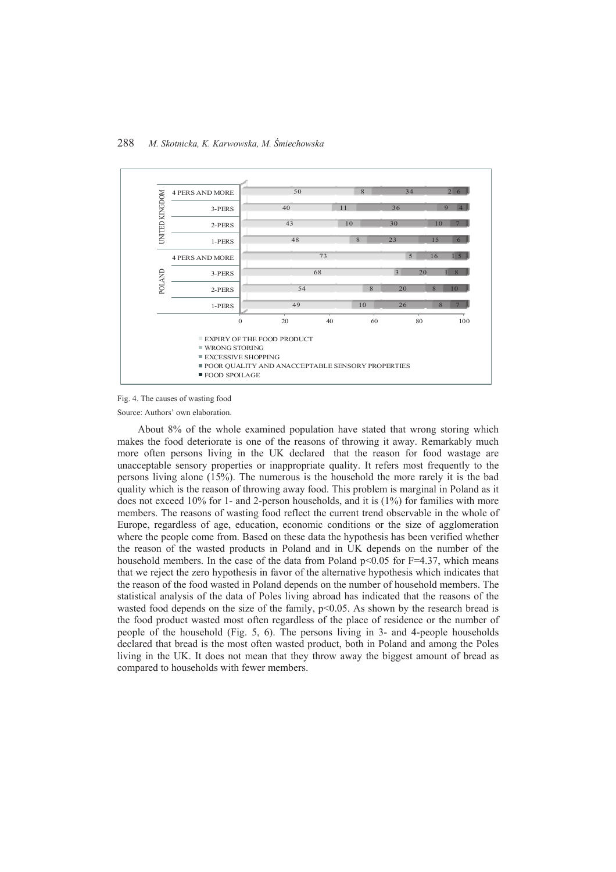

Fig. 4. The causes of wasting food

Source: Authors' own elaboration.

About 8% of the whole examined population have stated that wrong storing which makes the food deteriorate is one of the reasons of throwing it away. Remarkably much more often persons living in the UK declared that the reason for food wastage are unacceptable sensory properties or inappropriate quality. It refers most frequently to the persons living alone (15%). The numerous is the household the more rarely it is the bad quality which is the reason of throwing away food. This problem is marginal in Poland as it does not exceed 10% for 1- and 2-person households, and it is (1%) for families with more members. The reasons of wasting food reflect the current trend observable in the whole of Europe, regardless of age, education, economic conditions or the size of agglomeration where the people come from. Based on these data the hypothesis has been verified whether the reason of the wasted products in Poland and in UK depends on the number of the household members. In the case of the data from Poland  $p<0.05$  for F=4.37, which means that we reject the zero hypothesis in favor of the alternative hypothesis which indicates that the reason of the food wasted in Poland depends on the number of household members. The statistical analysis of the data of Poles living abroad has indicated that the reasons of the wasted food depends on the size of the family, p<0.05. As shown by the research bread is the food product wasted most often regardless of the place of residence or the number of people of the household (Fig. 5, 6). The persons living in 3- and 4-people households declared that bread is the most often wasted product, both in Poland and among the Poles living in the UK. It does not mean that they throw away the biggest amount of bread as compared to households with fewer members.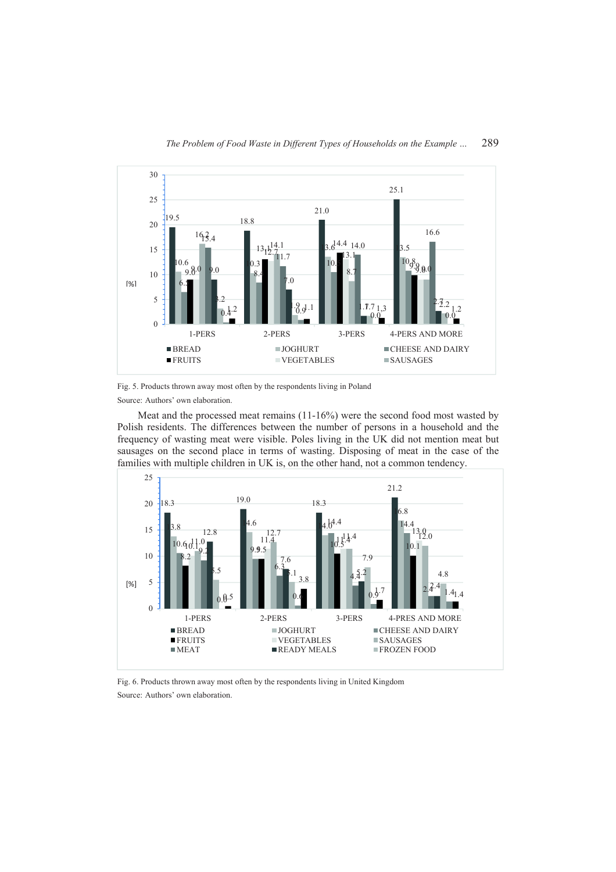

Fig. 5. Products thrown away most often by the respondents living in Poland Source: Authors' own elaboration.

Meat and the processed meat remains  $(11-16%)$  were the second food most wasted by Polish residents. The differences between the number of persons in a household and the frequency of wasting meat were visible. Poles living in the UK did not mention meat but sausages on the second place in terms of wasting. Disposing of meat in the case of the families with multiple children in UK is, on the other hand, not a common tendency.



Fig. 6. Products thrown away most often by the respondents living in United Kingdom Source: Authors' own elaboration.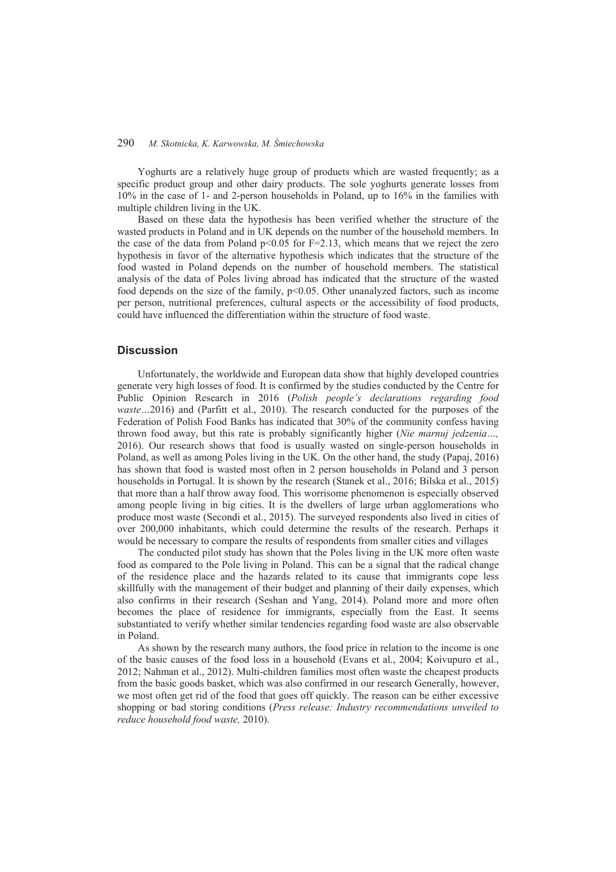Yoghurts are a relatively huge group of products which are wasted frequently; as a specific product group and other dairy products. The sole yoghurts generate losses from 10% in the case of 1- and 2-person households in Poland, up to 16% in the families with multiple children living in the UK.

Based on these data the hypothesis has been verified whether the structure of the wasted products in Poland and in UK depends on the number of the household members. In the case of the data from Poland  $p<0.05$  for  $F=2.13$ , which means that we reject the zero hypothesis in favor of the alternative hypothesis which indicates that the structure of the food wasted in Poland depends on the number of household members. The statistical analysis of the data of Poles living abroad has indicated that the structure of the wasted food depends on the size of the family,  $p<0.05$ . Other unanalyzed factors, such as income per person, nutritional preferences, cultural aspects or the accessibility of food products, could have influenced the differentiation within the structure of food waste.

#### **Discussion**

Unfortunately, the worldwide and European data show that highly developed countries generate very high losses of food. It is confirmed by the studies conducted by the Centre for Public Opinion Research in 2016 (*Polish people's declarations regarding food waste*…2016) and (Parfitt et al., 2010). The research conducted for the purposes of the Federation of Polish Food Banks has indicated that 30% of the community confess having thrown food away, but this rate is probably significantly higher (*Nie marnuj jedzenia…,*  2016). Our research shows that food is usually wasted on single-person households in Poland, as well as among Poles living in the UK. On the other hand, the study (Papaj, 2016) has shown that food is wasted most often in 2 person households in Poland and 3 person households in Portugal. It is shown by the research (Stanek et al., 2016; Bilska et al., 2015) that more than a half throw away food. This worrisome phenomenon is especially observed among people living in big cities. It is the dwellers of large urban agglomerations who produce most waste (Secondi et al., 2015). The surveyed respondents also lived in cities of over 200,000 inhabitants, which could determine the results of the research. Perhaps it would be necessary to compare the results of respondents from smaller cities and villages

The conducted pilot study has shown that the Poles living in the UK more often waste food as compared to the Pole living in Poland. This can be a signal that the radical change of the residence place and the hazards related to its cause that immigrants cope less skillfully with the management of their budget and planning of their daily expenses, which also confirms in their research (Seshan and Yang, 2014). Poland more and more often becomes the place of residence for immigrants, especially from the East. It seems substantiated to verify whether similar tendencies regarding food waste are also observable in Poland.

As shown by the research many authors, the food price in relation to the income is one of the basic causes of the food loss in a household (Evans et al., 2004; Koivupuro et al., 2012; Nahman et al., 2012). Multi-children families most often waste the cheapest products from the basic goods basket, which was also confirmed in our research Generally, however, we most often get rid of the food that goes off quickly. The reason can be either excessive shopping or bad storing conditions (*Press release: Industry recommendations unveiled to reduce household food waste,* 2010).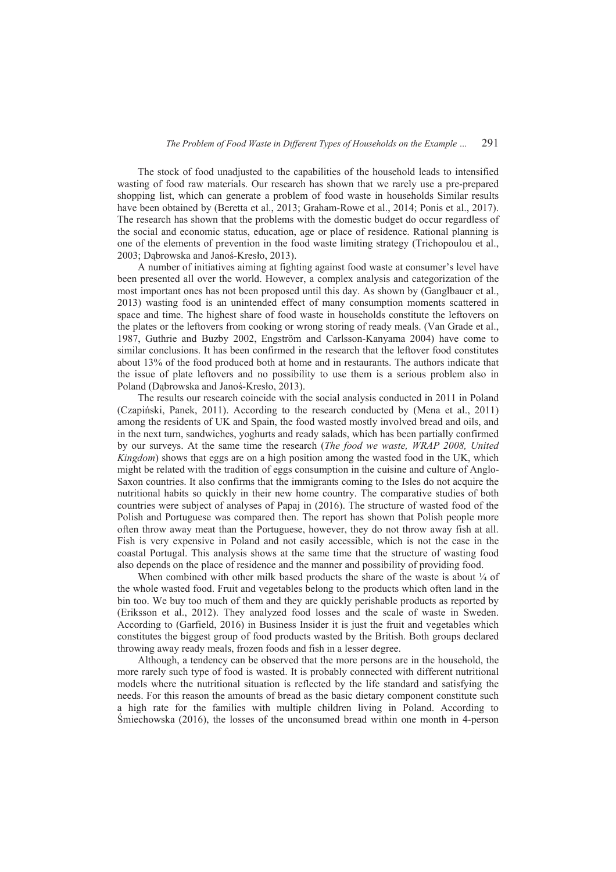The stock of food unadjusted to the capabilities of the household leads to intensified wasting of food raw materials. Our research has shown that we rarely use a pre-prepared shopping list, which can generate a problem of food waste in households Similar results have been obtained by (Beretta et al., 2013; Graham-Rowe et al., 2014; Ponis et al., 2017). The research has shown that the problems with the domestic budget do occur regardless of the social and economic status, education, age or place of residence. Rational planning is one of the elements of prevention in the food waste limiting strategy (Trichopoulou et al., 2003; Dąbrowska and Janoś-Kresło, 2013).

A number of initiatives aiming at fighting against food waste at consumer's level have been presented all over the world. However, a complex analysis and categorization of the most important ones has not been proposed until this day. As shown by (Ganglbauer et al., 2013) wasting food is an unintended effect of many consumption moments scattered in space and time. The highest share of food waste in households constitute the leftovers on the plates or the leftovers from cooking or wrong storing of ready meals. (Van Grade et al., 1987, Guthrie and Buzby 2002, Engström and Carlsson-Kanyama 2004) have come to similar conclusions. It has been confirmed in the research that the leftover food constitutes about 13% of the food produced both at home and in restaurants. The authors indicate that the issue of plate leftovers and no possibility to use them is a serious problem also in Poland (Dabrowska and Janoś-Kresło, 2013).

The results our research coincide with the social analysis conducted in 2011 in Poland (Czapiński, Panek, 2011). According to the research conducted by (Mena et al., 2011) among the residents of UK and Spain, the food wasted mostly involved bread and oils, and in the next turn, sandwiches, yoghurts and ready salads, which has been partially confirmed by our surveys. At the same time the research (*The food we waste, WRAP 2008, United Kingdom*) shows that eggs are on a high position among the wasted food in the UK, which might be related with the tradition of eggs consumption in the cuisine and culture of Anglo-Saxon countries. It also confirms that the immigrants coming to the Isles do not acquire the nutritional habits so quickly in their new home country. The comparative studies of both countries were subject of analyses of Papaj in (2016). The structure of wasted food of the Polish and Portuguese was compared then. The report has shown that Polish people more often throw away meat than the Portuguese, however, they do not throw away fish at all. Fish is very expensive in Poland and not easily accessible, which is not the case in the coastal Portugal. This analysis shows at the same time that the structure of wasting food also depends on the place of residence and the manner and possibility of providing food.

When combined with other milk based products the share of the waste is about  $\frac{1}{4}$  of the whole wasted food. Fruit and vegetables belong to the products which often land in the bin too. We buy too much of them and they are quickly perishable products as reported by (Eriksson et al., 2012). They analyzed food losses and the scale of waste in Sweden. According to (Garfield, 2016) in Business Insider it is just the fruit and vegetables which constitutes the biggest group of food products wasted by the British. Both groups declared throwing away ready meals, frozen foods and fish in a lesser degree.

Although, a tendency can be observed that the more persons are in the household, the more rarely such type of food is wasted. It is probably connected with different nutritional models where the nutritional situation is reflected by the life standard and satisfying the needs. For this reason the amounts of bread as the basic dietary component constitute such a high rate for the families with multiple children living in Poland. According to ĝmiechowska (2016), the losses of the unconsumed bread within one month in 4-person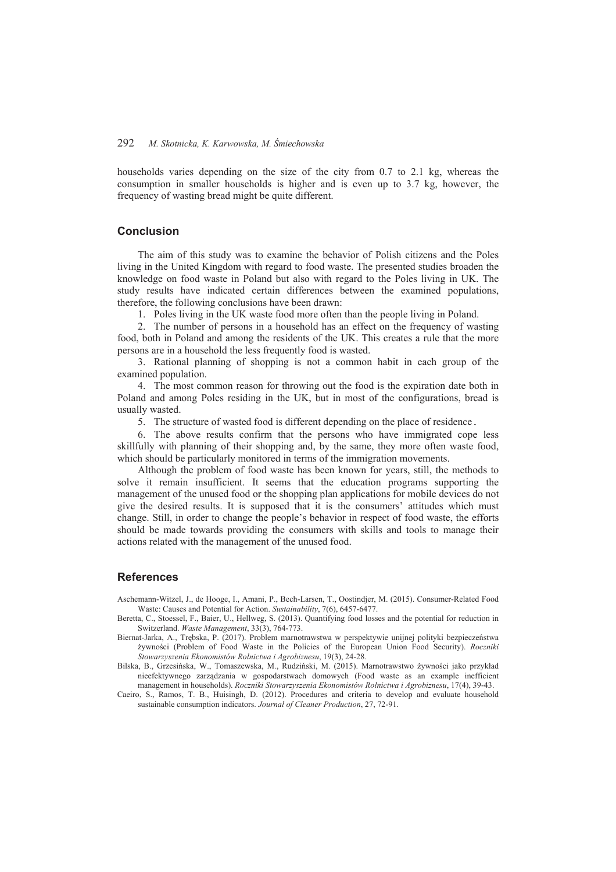households varies depending on the size of the city from 0.7 to 2.1 kg, whereas the consumption in smaller households is higher and is even up to 3.7 kg, however, the frequency of wasting bread might be quite different.

## **Conclusion**

The aim of this study was to examine the behavior of Polish citizens and the Poles living in the United Kingdom with regard to food waste. The presented studies broaden the knowledge on food waste in Poland but also with regard to the Poles living in UK. The study results have indicated certain differences between the examined populations, therefore, the following conclusions have been drawn:

1. Poles living in the UK waste food more often than the people living in Poland.

2. The number of persons in a household has an effect on the frequency of wasting food, both in Poland and among the residents of the UK. This creates a rule that the more persons are in a household the less frequently food is wasted.

3. Rational planning of shopping is not a common habit in each group of the examined population.

4. The most common reason for throwing out the food is the expiration date both in Poland and among Poles residing in the UK, but in most of the configurations, bread is usually wasted.

5. The structure of wasted food is different depending on the place of residence.

6. The above results confirm that the persons who have immigrated cope less skillfully with planning of their shopping and, by the same, they more often waste food, which should be particularly monitored in terms of the immigration movements.

Although the problem of food waste has been known for years, still, the methods to solve it remain insufficient. It seems that the education programs supporting the management of the unused food or the shopping plan applications for mobile devices do not give the desired results. It is supposed that it is the consumers' attitudes which must change. Still, in order to change the people's behavior in respect of food waste, the efforts should be made towards providing the consumers with skills and tools to manage their actions related with the management of the unused food.

#### **References**

Aschemann-Witzel, J., de Hooge, I., Amani, P., Bech-Larsen, T., Oostindjer, M. (2015). Consumer-Related Food Waste: Causes and Potential for Action. *Sustainability*, 7(6), 6457-6477.

- Beretta, C., Stoessel, F., Baier, U., Hellweg, S. (2013). Quantifying food losses and the potential for reduction in Switzerland. *Waste Management*, 33(3), 764-773.
- Biernat-Jarka, A., Trębska, P. (2017). Problem marnotrawstwa w perspektywie unijnej polityki bezpieczeństwa ĪywnoĞci (Problem of Food Waste in the Policies of the European Union Food Security). *Roczniki Stowarzyszenia Ekonomistów Rolnictwa i Agrobiznesu*, 19(3), 24-28.
- Bilska, B., Grzesińska, W., Tomaszewska, M., Rudziński, M. (2015). Marnotrawstwo żywności jako przykład nieefektywnego zarządzania w gospodarstwach domowych (Food waste as an example inefficient management in households). *Roczniki Stowarzyszenia Ekonomistów Rolnictwa i Agrobiznesu*, 17(4), 39-43.
- Caeiro, S., Ramos, T. B., Huisingh, D. (2012). Procedures and criteria to develop and evaluate household sustainable consumption indicators. *Journal of Cleaner Production*, 27, 72-91.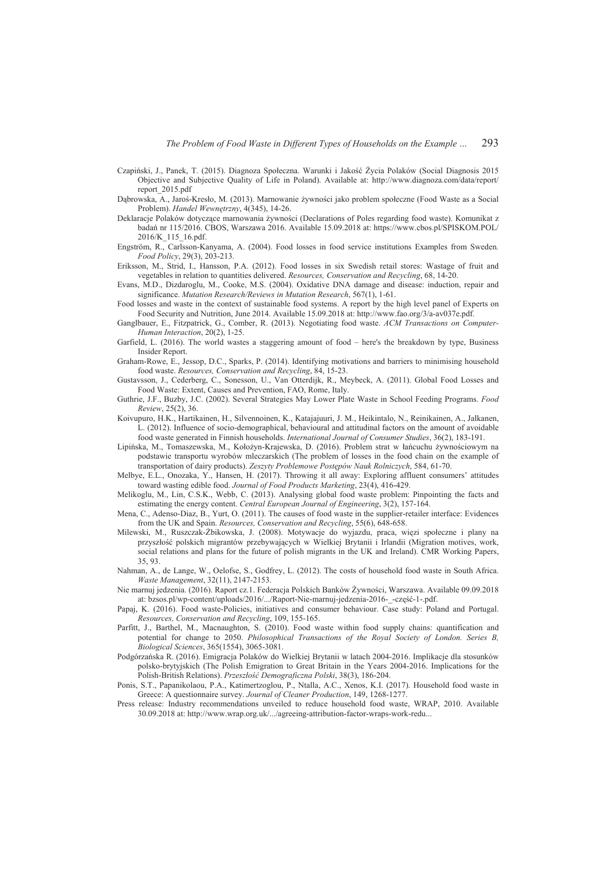- Czapiński, J., Panek, T. (2015). Diagnoza Społeczna. Warunki i Jakość Życia Polaków (Social Diagnosis 2015 Objective and Subjective Quality of Life in Poland). Available at: http://www.diagnoza.com/data/report/ report\_2015.pdf
- Dąbrowska, A., Jaroś-Kresło, M. (2013). Marnowanie żywności jako problem społeczne (Food Waste as a Social Problem). *Handel Wewnętrzny*, 4(345), 14-26.
- Deklaracje Polaków dotyczące marnowania żywności (Declarations of Poles regarding food waste). Komunikat z badań nr 115/2016. CBOS, Warszawa 2016. Available 15.09.2018 at: https://www.cbos.pl/SPISKOM.POL/ 2016/K\_115\_16.pdf.
- Engström, R., Carlsson-Kanyama, A. (2004). Food losses in food service institutions Examples from Sweden*. Food Policy*, 29(3), 203-213.
- Eriksson, M., Strid, I., Hansson, P.A. (2012). Food losses in six Swedish retail stores: Wastage of fruit and vegetables in relation to quantities delivered. *Resources, Conservation and Recycling*, 68, 14-20.
- Evans, M.D., Dizdaroglu, M., Cooke, M.S. (2004). Oxidative DNA damage and disease: induction, repair and significance. *Mutation Research/Reviews in Mutation Research*, 567(1), 1-61.
- Food losses and waste in the context of sustainable food systems. A report by the high level panel of Experts on Food Security and Nutrition, June 2014. Available 15.09.2018 at: http://www.fao.org/3/a-av037e.pdf.
- Ganglbauer, E., Fitzpatrick, G., Comber, R. (2013). Negotiating food waste. *ACM Transactions on Computer-Human Interaction*, 20(2), 1-25.
- Garfield, L. (2016). The world wastes a staggering amount of food here's the breakdown by type, Business Insider Report.
- Graham-Rowe, E., Jessop, D.C., Sparks, P. (2014). Identifying motivations and barriers to minimising household food waste. *Resources, Conservation and Recycling*, 84, 15-23.
- Gustavsson, J., Cederberg, C., Sonesson, U., Van Otterdijk, R., Meybeck, A. (2011). Global Food Losses and Food Waste: Extent, Causes and Prevention, FAO, Rome, Italy.
- Guthrie, J.F., Buzby, J.C. (2002). Several Strategies May Lower Plate Waste in School Feeding Programs. *Food Review*, 25(2), 36.
- Koivupuro, H.K., Hartikainen, H., Silvennoinen, K., Katajajuuri, J. M., Heikintalo, N., Reinikainen, A., Jalkanen, L. (2012). Influence of socio-demographical, behavioural and attitudinal factors on the amount of avoidable food waste generated in Finnish households. *International Journal of Consumer Studies*, 36(2), 183-191.
- Lipińska, M., Tomaszewska, M., Kołożyn-Krajewska, D. (2016). Problem strat w łańcuchu żywnościowym na podstawie transportu wyrobów mleczarskich (The problem of losses in the food chain on the example of transportation of dairy products). Zeszyty Problemowe Postępów Nauk Rolniczych, 584, 61-70.
- Melbye, E.L., Onozaka, Y., Hansen, H. (2017). Throwing it all away: Exploring affluent consumers' attitudes toward wasting edible food. *Journal of Food Products Marketing*, 23(4), 416-429.
- Melikoglu, M., Lin, C.S.K., Webb, C. (2013). Analysing global food waste problem: Pinpointing the facts and estimating the energy content. *Central European Journal of Engineering*, 3(2), 157-164.
- Mena, C., Adenso-Diaz, B., Yurt, O. (2011). The causes of food waste in the supplier-retailer interface: Evidences from the UK and Spain. *Resources, Conservation and Recycling*, 55(6), 648-658.
- Milewski, M., Ruszczak-Żbikowska, J. (2008). Motywacje do wyjazdu, praca, więzi społeczne i plany na przyszłość polskich migrantów przebywających w Wielkiej Brytanii i Irlandii (Migration motives, work, social relations and plans for the future of polish migrants in the UK and Ireland). CMR Working Papers, 35, 93.
- Nahman, A., de Lange, W., Oelofse, S., Godfrey, L. (2012). The costs of household food waste in South Africa. *Waste Management*, 32(11), 2147-2153.
- Nie marnuj jedzenia. (2016). Raport cz.1. Federacja Polskich Banków Żywności, Warszawa. Available 09.09.2018 at: bzsos.pl/wp-content/uploads/2016/.../Raport-Nie-marnuj-jedzenia-2016--cześć-1-.pdf.
- Papaj, K. (2016). Food waste-Policies, initiatives and consumer behaviour. Case study: Poland and Portugal. *Resources, Conservation and Recycling*, 109, 155-165.
- Parfitt, J., Barthel, M., Macnaughton, S. (2010). Food waste within food supply chains: quantification and potential for change to 2050. *Philosophical Transactions of the Royal Society of London. Series B, Biological Sciences*, 365(1554), 3065-3081.
- Podgórzańska R. (2016). Emigracja Polaków do Wielkiej Brytanii w latach 2004-2016. Implikacje dla stosunków polsko-brytyjskich (The Polish Emigration to Great Britain in the Years 2004-2016. Implications for the Polish-British Relations). *PrzeszáoĞü Demograficzna Polski*, 38(3), 186-204.
- Ponis, S.T., Papanikolaou, P.A., Katimertzoglou, P., Ntalla, A.C., Xenos, K.I. (2017). Household food waste in Greece: A questionnaire survey. *Journal of Cleaner Production*, 149, 1268-1277.
- Press release: Industry recommendations unveiled to reduce household food waste, WRAP, 2010. Available 30.09.2018 at: http://www.wrap.org.uk/.../agreeing-attribution-factor-wraps-work-redu...